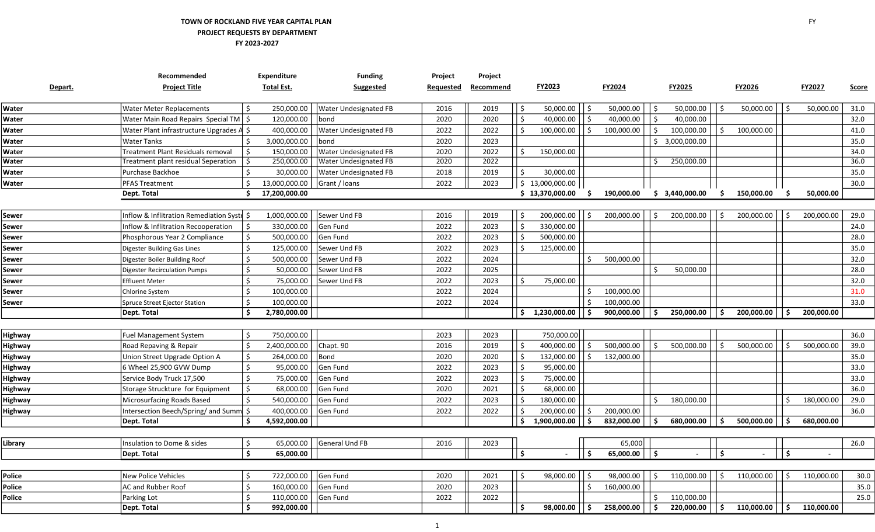## TOWN OF ROCKLAND FIVE YEAR CAPITAL PLAN PROJECT REQUESTS BY DEPARTMENT FY 2023-2027

|                | Recommended                                | <b>Expenditure</b>         | <b>Funding</b>               | Project   | Project   |      |                 |                    |            |                            |                            |            |            |      |            |              |
|----------------|--------------------------------------------|----------------------------|------------------------------|-----------|-----------|------|-----------------|--------------------|------------|----------------------------|----------------------------|------------|------------|------|------------|--------------|
| Depart.        | <b>Project Title</b>                       | <b>Total Est.</b>          | Suggested                    | Requested | Recommend |      | FY2023          |                    | FY2024     |                            | <b>FY2025</b>              |            | FY2026     |      | FY2027     | <b>Score</b> |
|                |                                            |                            |                              |           |           |      |                 |                    |            |                            |                            |            |            |      |            |              |
| Water          | <b>Water Meter Replacements</b>            | 250,000.00<br>\$           | Water Undesignated FB        | 2016      | 2019      | Ŝ    | 50,000.00       | \$ ا               | 50,000.00  | \$                         | 50,000.00                  | \$         | 50,000.00  | l \$ | 50,000.00  | 31.0         |
| Water          | Water Main Road Repairs Special TM   \$    | 120,000.00                 | bond                         | 2020      | 2020      | Ŝ.   | 40,000.00       | \$ ا               | 40,000.00  | $\vert \mathsf{s}$         | 40,000.00                  |            |            |      |            | 32.0         |
| Water          | Water Plant infrastructure Upgrades A \$   | 400,000.00                 | Water Undesignated FB        | 2022      | 2022      | S.   | 100,000.00      | ۱Ś.                | 100,000.00 | ۱\$                        | 100,000.00                 | Ś.         | 100,000.00 |      |            | 41.0         |
| Water          | <b>Water Tanks</b>                         | 3,000,000.00               | bond                         | 2020      | 2023      |      |                 |                    |            |                            | $\frac{1}{2}$ 3,000,000.00 |            |            |      |            | 35.0         |
| Water          | Treatment Plant Residuals removal          | 150,000.00<br>Ŝ.           | <b>Water Undesignated FB</b> | 2020      | 2022      | .S   | 150,000.00      |                    |            |                            |                            |            |            |      |            | 34.0         |
| Water          | Treatment plant residual Seperation        | -\$<br>250,000.00          | <b>Water Undesignated FB</b> | 2020      | 2022      |      |                 |                    |            |                            | 250,000.00                 |            |            |      |            | 36.0         |
| Water          | Purchase Backhoe                           | 30,000.00                  | Water Undesignated FB        | 2018      | 2019      | Ŝ.   | 30,000.00       |                    |            |                            |                            |            |            |      |            | 35.0         |
| Water          | PFAS Treatment                             | Ŝ.<br>13,000,000.00        | Grant / Ioans                | 2022      | 2023      |      | \$13,000,000.00 |                    |            |                            |                            |            |            |      |            | 30.0         |
|                | Dept. Total                                | 17,200,000.00              |                              |           |           |      | \$13,370,000.00 | S.                 | 190,000.00 |                            | \$3,440,000.00             | S.         | 150,000.00 |      | 50,000.00  |              |
|                |                                            |                            |                              |           |           |      |                 |                    |            |                            |                            |            |            |      |            |              |
| Sewer          | Inflow & Inflitration Remediation Syste \$ | 1,000,000.00               | Sewer Und FB                 | 2016      | 2019      |      | 200,000.00      | -Ś                 | 200,000.00 | 5 ا                        | 200,000.00                 | Ŝ.         | 200,000.00 | ۱ś.  | 200,000.00 | 29.0         |
| Sewer          | Inflow & Inflitration Recooperation        | 330,000.00<br>Ŝ.           | Gen Fund                     | 2022      | 2023      | -Ś   | 330,000.00      |                    |            |                            |                            |            |            |      |            | 24.0         |
| Sewer          | Phosphorous Year 2 Compliance              | \$<br>500,000.00           | Gen Fund                     | 2022      | 2023      |      | 500,000.00      |                    |            |                            |                            |            |            |      |            | 28.0         |
| Sewer          | Digester Building Gas Lines                | $\zeta$<br>125,000.00      | Sewer Und FB                 | 2022      | 2023      |      | 125,000.00      |                    |            |                            |                            |            |            |      |            | 35.0         |
| Sewer          | Digester Boiler Building Roof              | \$<br>500,000.00           | Sewer Und FB                 | 2022      | 2024      |      |                 | Ŝ.                 | 500,000.00 |                            |                            |            |            |      |            | 32.0         |
| Sewer          | <b>Digester Recirculation Pumps</b>        | Ś.<br>50,000.00            | Sewer Und FB                 | 2022      | 2025      |      |                 |                    |            | Ŝ.                         | 50,000.00                  |            |            |      |            | 28.0         |
| Sewer          | <b>Effluent Meter</b>                      | Ś<br>75,000.00             | Sewer Und FB                 | 2022      | 2023      |      | 75,000.00       |                    |            |                            |                            |            |            |      |            | 32.0         |
| Sewer          | Chlorine System                            | Ś.<br>100,000.00           |                              | 2022      | 2024      |      |                 |                    | 100,000.00 |                            |                            |            |            |      |            | 31.0         |
| Sewer          | Spruce Street Ejector Station              | Ś.<br>100,000.00           |                              | 2022      | 2024      |      |                 |                    | 100,000.00 |                            |                            |            |            |      |            | 33.0         |
|                | Dept. Total                                | Ś.<br>2,780,000.00         |                              |           |           | Ŝ.   | 1,230,000.00    | ا \$ا              | 900,000.00 | ۱s.                        | 250,000.00                 | . Ś        | 200,000.00 | ۱Ś   | 200,000.00 |              |
|                |                                            |                            |                              |           |           |      |                 |                    |            |                            |                            |            |            |      |            |              |
| <b>Highway</b> | <b>Fuel Management System</b>              | \$<br>750,000.00           |                              | 2023      | 2023      |      | 750,000.00      |                    |            |                            |                            |            |            |      |            | 36.0         |
| <b>Highway</b> | Road Repaving & Repair                     | $\zeta$<br>2,400,000.00    | Chapt. 90                    | 2016      | 2019      | -Ś   | 400,000.00      | \$                 | 500,000.00 | $\vert \mathfrak{s} \vert$ | 500,000.00                 | \$         | 500,000.00 | \$ ا | 500,000.00 | 39.0         |
| <b>Highway</b> | Union Street Upgrade Option A              | Ś.<br>264,000.00           | Bond                         | 2020      | 2020      | -Ś   | 132,000.00      | $\dot{\mathsf{S}}$ | 132,000.00 |                            |                            |            |            |      |            | 35.0         |
| <b>Highway</b> | 6 Wheel 25,900 GVW Dump                    | Ś.<br>95,000.00            | Gen Fund                     | 2022      | 2023      |      | 95,000.00       |                    |            |                            |                            |            |            |      |            | 33.0         |
| <b>Highway</b> | Service Body Truck 17,500                  | $\frac{1}{2}$<br>75,000.00 | Gen Fund                     | 2022      | 2023      |      | 75,000.00       |                    |            |                            |                            |            |            |      |            | 33.0         |
| <b>Highway</b> | Storage Struckture for Equipment           | $\zeta$<br>68,000.00       | Gen Fund                     | 2020      | 2021      | .\$  | 68,000.00       |                    |            |                            |                            |            |            |      |            | 36.0         |
| <b>Highway</b> | Microsurfacing Roads Based                 | 540,000.00<br>\$           | Gen Fund                     | 2022      | 2023      | -Ś   | 180,000.00      |                    |            | $\mathsf{S}$               | 180,000.00                 |            |            | -\$  | 180,000.00 | 29.0         |
| <b>Highway</b> | Intersection Beech/Spring/ and Summ        | 400,000.00                 | Gen Fund                     | 2022      | 2022      |      | 200,000.00      | Ŝ.                 | 200,000.00 |                            |                            |            |            |      |            | 36.0         |
|                | Dept. Total                                | Š.<br>4,592,000.00         |                              |           |           | Ŝ.   | 1,900,000.00    | Ŝ.                 | 832,000.00 | 5 ا                        | 680,000.00                 | Ś.         | 500,000.00 | ۱Ś   | 680,000.00 |              |
|                |                                            |                            |                              |           |           |      |                 |                    |            |                            |                            |            |            |      |            |              |
| Library        | Insulation to Dome & sides                 | $\zeta$<br>65,000.00       | <b>General Und FB</b>        | 2016      | 2023      |      |                 |                    | 65,000     |                            |                            |            |            |      |            | 26.0         |
|                | Dept. Total                                | \$<br>65,000.00            |                              |           |           | \$ ا |                 | Ŝ.                 | 65,000.00  | $\vert$ \$                 |                            | Ŝ.         |            | ۱ś   |            |              |
|                |                                            |                            |                              |           |           |      |                 |                    |            |                            |                            |            |            |      |            |              |
| Police         | <b>New Police Vehicles</b>                 | 722,000.00<br>Ŝ.           | Gen Fund                     | 2020      | 2021      | \$   | 98,000.00       | ۱\$                | 98,000.00  | \$                         | 110,000.00                 | \$         | 110,000.00 | l \$ | 110,000.00 | 30.0         |
| Police         | <b>AC and Rubber Roof</b>                  | Ś.<br>160,000.00           | Gen Fund                     | 2020      | 2023      |      |                 | Ŝ.                 | 160,000.00 |                            |                            |            |            |      |            | 35.0         |
| Police         | Parking Lot                                | Ś<br>110,000.00            | Gen Fund                     | 2022      | 2022      |      |                 |                    |            |                            | 110,000.00                 |            |            |      |            | 25.0         |
|                | Dept. Total                                | Ś.<br>992,000.00           |                              |           |           | Ŝ.   | 98,000.00       | Ŝ.                 | 258,000.00 | l s                        | 220,000.00                 | $\vert$ \$ | 110,000.00 | l \$ | 110,000.00 |              |

 $\overline{a}$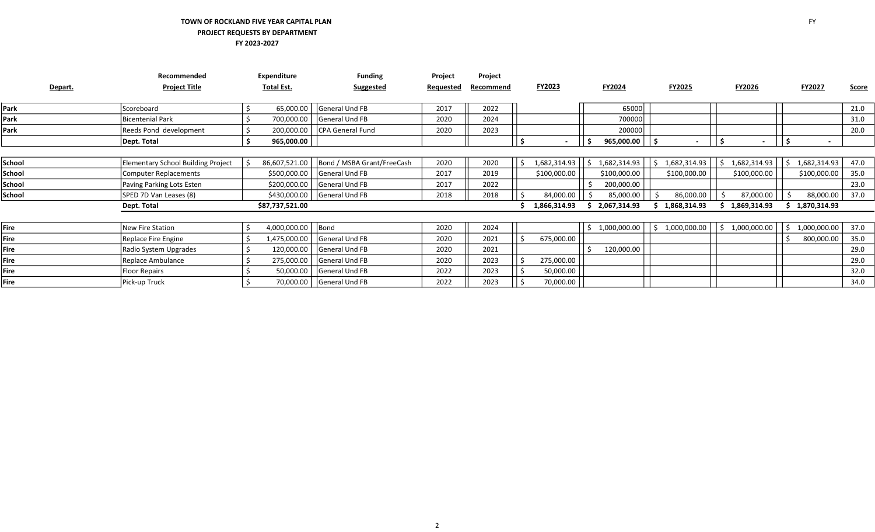## TOWN OF ROCKLAND FIVE YEAR CAPITAL PLAN PROJECT REQUESTS BY DEPARTMENT FY 2023-2027

|         | Recommended                               | <b>Expenditure</b> | <b>Funding</b>             | Project          | Project   |              |              |                    |                                |            |                          |              |
|---------|-------------------------------------------|--------------------|----------------------------|------------------|-----------|--------------|--------------|--------------------|--------------------------------|------------|--------------------------|--------------|
| Depart. | <b>Project Title</b>                      | Total Est.         | <b>Suggested</b>           | <b>Requested</b> | Recommend | FY2023       | FY2024       | <b>FY2025</b>      | FY2026                         |            | FY2027                   | <u>Score</u> |
| Park    | Scoreboard                                | 65,000.00          | General Und FB             | 2017             | 2022      |              | 65000        |                    |                                |            |                          | 21.0         |
| Park    | <b>Bicentenial Park</b>                   | 700,000.00         | General Und FB             | 2020             | 2024      |              | 700000       |                    |                                |            |                          | 31.0         |
| Park    | Reeds Pond development                    | 200,000.00         | CPA General Fund           | 2020             | 2023      |              | 200000       |                    |                                |            |                          | 20.0         |
|         | Dept. Total                               | 965,000.00         |                            |                  |           |              | 965,000.00   | l S                | ΙŚ<br>$\overline{\phantom{0}}$ | ۱s         | $\overline{\phantom{a}}$ |              |
|         |                                           |                    |                            |                  |           |              |              |                    |                                |            |                          |              |
| School  | <b>Elementary School Building Project</b> | 86,607,521.00      | Bond / MSBA Grant/FreeCash | 2020             | 2020      | 1,682,314.93 | 1,682,314.93 | 1,682,314.93<br>S. | 1,682,314.93                   | $\vert$ \$ | 1,682,314.93             | 47.0         |
| School  | Computer Replacements                     | \$500,000.00       | General Und FB             | 2017             | 2019      | \$100,000.00 | \$100,000.00 | \$100,000.00       | \$100,000.00                   |            | \$100,000.00             | 35.0         |
| School  | Paving Parking Lots Esten                 | \$200,000.00       | General Und FB             | 2017             | 2022      |              | 200,000.00   |                    |                                |            |                          | 23.0         |
| School  | SPED 7D Van Leases (8)                    | \$430,000.00       | <b>General Und FB</b>      | 2018             | 2018      | 84,000.00    | 85,000.00    | 86,000.00          | 87,000.00                      |            | 88,000.00                | 37.0         |
|         | Dept. Total                               | \$87,737,521.00    |                            |                  |           | 1,866,314.93 | 2,067,314.93 | 1,868,314.93       | 1,869,314.93                   |            | 1,870,314.93             |              |
|         |                                           |                    |                            |                  |           |              |              |                    |                                |            |                          |              |
| Fire    | New Fire Station                          | 4,000,000.00       | Bond                       | 2020             | 2024      |              | 1,000,000.00 | 1,000,000.00<br>-S | 1,000,000.00                   | -S         | 1,000,000.00             | 37.0         |
| Fire    | Replace Fire Engine                       | 1,475,000.00       | <b>General Und FB</b>      | 2020             | 2021      | 675,000.00   |              |                    |                                |            | 800,000.00               | 35.0         |
| Fire    | Radio System Upgrades                     | 120,000.00         | General Und FB             | 2020             | 2021      |              | 120,000.00   |                    |                                |            |                          | 29.0         |
| Fire    | Replace Ambulance                         | 275,000.00         | <b>General Und FB</b>      | 2020             | 2023      | 275,000.00   |              |                    |                                |            |                          | 29.0         |
| Fire    | <b>Floor Repairs</b>                      | 50,000.00          | General Und FB             | 2022             | 2023      | 50,000.00    |              |                    |                                |            |                          | 32.0         |
| Fire    | Pick-up Truck                             | 70,000.00          | <b>General Und FB</b>      | 2022             | 2023      | 70,000.00    |              |                    |                                |            |                          | 34.0         |